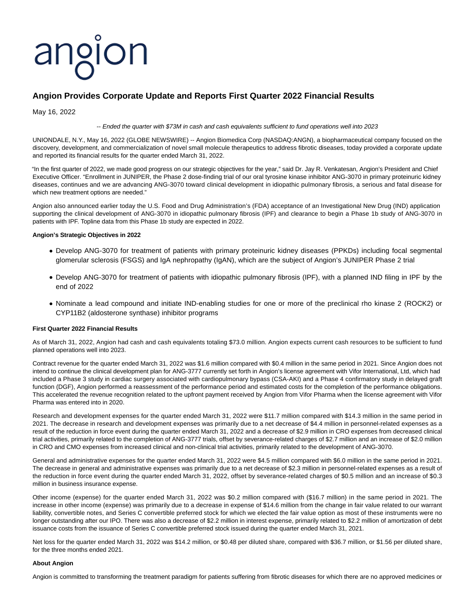# angion

# **Angion Provides Corporate Update and Reports First Quarter 2022 Financial Results**

May 16, 2022

# -- Ended the quarter with \$73M in cash and cash equivalents sufficient to fund operations well into 2023

UNIONDALE, N.Y., May 16, 2022 (GLOBE NEWSWIRE) -- Angion Biomedica Corp (NASDAQ:ANGN), a biopharmaceutical company focused on the discovery, development, and commercialization of novel small molecule therapeutics to address fibrotic diseases, today provided a corporate update and reported its financial results for the quarter ended March 31, 2022.

"In the first quarter of 2022, we made good progress on our strategic objectives for the year," said Dr. Jay R. Venkatesan, Angion's President and Chief Executive Officer. "Enrollment in JUNIPER, the Phase 2 dose-finding trial of our oral tyrosine kinase inhibitor ANG-3070 in primary proteinuric kidney diseases, continues and we are advancing ANG-3070 toward clinical development in idiopathic pulmonary fibrosis, a serious and fatal disease for which new treatment options are needed."

Angion also announced earlier today the U.S. Food and Drug Administration's (FDA) acceptance of an Investigational New Drug (IND) application supporting the clinical development of ANG-3070 in idiopathic pulmonary fibrosis (IPF) and clearance to begin a Phase 1b study of ANG-3070 in patients with IPF. Topline data from this Phase 1b study are expected in 2022.

# **Angion's Strategic Objectives in 2022**

- Develop ANG-3070 for treatment of patients with primary proteinuric kidney diseases (PPKDs) including focal segmental glomerular sclerosis (FSGS) and IgA nephropathy (IgAN), which are the subject of Angion's JUNIPER Phase 2 trial
- Develop ANG-3070 for treatment of patients with idiopathic pulmonary fibrosis (IPF), with a planned IND filing in IPF by the end of 2022
- Nominate a lead compound and initiate IND-enabling studies for one or more of the preclinical rho kinase 2 (ROCK2) or CYP11B2 (aldosterone synthase) inhibitor programs

# **First Quarter 2022 Financial Results**

As of March 31, 2022, Angion had cash and cash equivalents totaling \$73.0 million. Angion expects current cash resources to be sufficient to fund planned operations well into 2023.

Contract revenue for the quarter ended March 31, 2022 was \$1.6 million compared with \$0.4 million in the same period in 2021. Since Angion does not intend to continue the clinical development plan for ANG-3777 currently set forth in Angion's license agreement with Vifor International, Ltd, which had included a Phase 3 study in cardiac surgery associated with cardiopulmonary bypass (CSA-AKI) and a Phase 4 confirmatory study in delayed graft function (DGF), Angion performed a reassessment of the performance period and estimated costs for the completion of the performance obligations. This accelerated the revenue recognition related to the upfront payment received by Angion from Vifor Pharma when the license agreement with Vifor Pharma was entered into in 2020.

Research and development expenses for the quarter ended March 31, 2022 were \$11.7 million compared with \$14.3 million in the same period in 2021. The decrease in research and development expenses was primarily due to a net decrease of \$4.4 million in personnel-related expenses as a result of the reduction in force event during the quarter ended March 31, 2022 and a decrease of \$2.9 million in CRO expenses from decreased clinical trial activities, primarily related to the completion of ANG-3777 trials, offset by severance-related charges of \$2.7 million and an increase of \$2.0 million in CRO and CMO expenses from increased clinical and non-clinical trial activities, primarily related to the development of ANG-3070.

General and administrative expenses for the quarter ended March 31, 2022 were \$4.5 million compared with \$6.0 million in the same period in 2021. The decrease in general and administrative expenses was primarily due to a net decrease of \$2.3 million in personnel-related expenses as a result of the reduction in force event during the quarter ended March 31, 2022, offset by severance-related charges of \$0.5 million and an increase of \$0.3 million in business insurance expense.

Other income (expense) for the quarter ended March 31, 2022 was \$0.2 million compared with (\$16.7 million) in the same period in 2021. The increase in other income (expense) was primarily due to a decrease in expense of \$14.6 million from the change in fair value related to our warrant liability, convertible notes, and Series C convertible preferred stock for which we elected the fair value option as most of these instruments were no longer outstanding after our IPO. There was also a decrease of \$2.2 million in interest expense, primarily related to \$2.2 million of amortization of debt issuance costs from the issuance of Series C convertible preferred stock issued during the quarter ended March 31, 2021.

Net loss for the quarter ended March 31, 2022 was \$14.2 million, or \$0.48 per diluted share, compared with \$36.7 million, or \$1.56 per diluted share, for the three months ended 2021.

#### **About Angion**

Angion is committed to transforming the treatment paradigm for patients suffering from fibrotic diseases for which there are no approved medicines or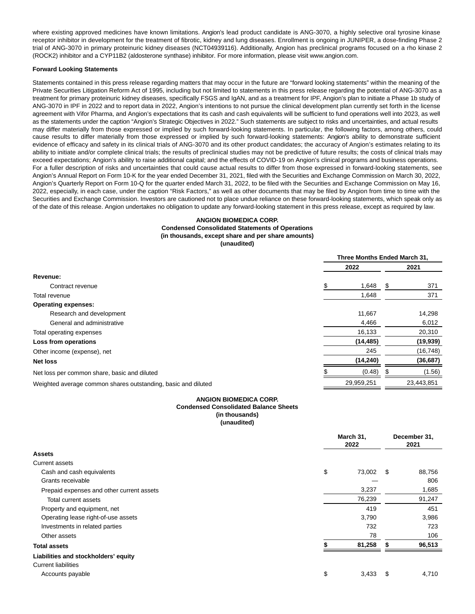where existing approved medicines have known limitations. Angion's lead product candidate is ANG-3070, a highly selective oral tyrosine kinase receptor inhibitor in development for the treatment of fibrotic, kidney and lung diseases. Enrollment is ongoing in JUNIPER, a dose-finding Phase 2 trial of ANG-3070 in primary proteinuric kidney diseases (NCT04939116). Additionally, Angion has preclinical programs focused on a rho kinase 2 (ROCK2) inhibitor and a CYP11B2 (aldosterone synthase) inhibitor. For more information, please visit www.angion.com.

## **Forward Looking Statements**

Statements contained in this press release regarding matters that may occur in the future are "forward looking statements" within the meaning of the Private Securities Litigation Reform Act of 1995, including but not limited to statements in this press release regarding the potential of ANG-3070 as a treatment for primary proteinuric kidney diseases, specifically FSGS and IgAN, and as a treatment for IPF, Angion's plan to initiate a Phase 1b study of ANG-3070 in IPF in 2022 and to report data in 2022, Angion's intentions to not pursue the clinical development plan currently set forth in the license agreement with Vifor Pharma, and Angion's expectations that its cash and cash equivalents will be sufficient to fund operations well into 2023, as well as the statements under the caption "Angion's Strategic Objectives in 2022." Such statements are subject to risks and uncertainties, and actual results may differ materially from those expressed or implied by such forward-looking statements. In particular, the following factors, among others, could cause results to differ materially from those expressed or implied by such forward-looking statements: Angion's ability to demonstrate sufficient evidence of efficacy and safety in its clinical trials of ANG-3070 and its other product candidates; the accuracy of Angion's estimates relating to its ability to initiate and/or complete clinical trials; the results of preclinical studies may not be predictive of future results; the costs of clinical trials may exceed expectations; Angion's ability to raise additional capital; and the effects of COVID-19 on Angion's clinical programs and business operations. For a fuller description of risks and uncertainties that could cause actual results to differ from those expressed in forward-looking statements, see Angion's Annual Report on Form 10-K for the year ended December 31, 2021, filed with the Securities and Exchange Commission on March 30, 2022, Angion's Quarterly Report on Form 10-Q for the quarter ended March 31, 2022, to be filed with the Securities and Exchange Commission on May 16, 2022, especially, in each case, under the caption "Risk Factors," as well as other documents that may be filed by Angion from time to time with the Securities and Exchange Commission. Investors are cautioned not to place undue reliance on these forward-looking statements, which speak only as of the date of this release. Angion undertakes no obligation to update any forward-looking statement in this press release, except as required by law.

# **ANGION BIOMEDICA CORP. Condensed Consolidated Statements of Operations (in thousands, except share and per share amounts) (unaudited)**

|                                                               | Three Months Ended March 31, |    |            |  |
|---------------------------------------------------------------|------------------------------|----|------------|--|
|                                                               | 2022                         |    | 2021       |  |
| Revenue:                                                      |                              |    |            |  |
| Contract revenue                                              | 1,648                        | S. | 371        |  |
| Total revenue                                                 | 1,648                        |    | 371        |  |
| <b>Operating expenses:</b>                                    |                              |    |            |  |
| Research and development                                      | 11,667                       |    | 14,298     |  |
| General and administrative                                    | 4,466                        |    | 6,012      |  |
| Total operating expenses                                      | 16,133                       |    | 20,310     |  |
| Loss from operations                                          | (14, 485)                    |    | (19, 939)  |  |
| Other income (expense), net                                   | 245                          |    | (16, 748)  |  |
| <b>Net loss</b>                                               | (14, 240)                    |    | (36, 687)  |  |
| Net loss per common share, basic and diluted                  | (0.48)                       |    | (1.56)     |  |
| Weighted average common shares outstanding, basic and diluted | 29,959,251                   |    | 23.443.851 |  |

# **ANGION BIOMEDICA CORP. Condensed Consolidated Balance Sheets (in thousands) (unaudited)**

|                                           | March 31,<br>2022 |      | December 31,<br>2021 |
|-------------------------------------------|-------------------|------|----------------------|
| <b>Assets</b>                             |                   |      |                      |
| <b>Current assets</b>                     |                   |      |                      |
| Cash and cash equivalents                 | \$<br>73,002      | \$   | 88,756               |
| Grants receivable                         |                   |      | 806                  |
| Prepaid expenses and other current assets | 3,237             |      | 1,685                |
| Total current assets                      | 76,239            |      | 91,247               |
| Property and equipment, net               | 419               |      | 451                  |
| Operating lease right-of-use assets       | 3,790             |      | 3,986                |
| Investments in related parties            | 732               |      | 723                  |
| Other assets                              | 78                |      | 106                  |
| <b>Total assets</b>                       | 81,258            |      | 96,513               |
| Liabilities and stockholders' equity      |                   |      |                      |
| <b>Current liabilities</b>                |                   |      |                      |
| Accounts payable                          | \$<br>3,433       | - \$ | 4,710                |